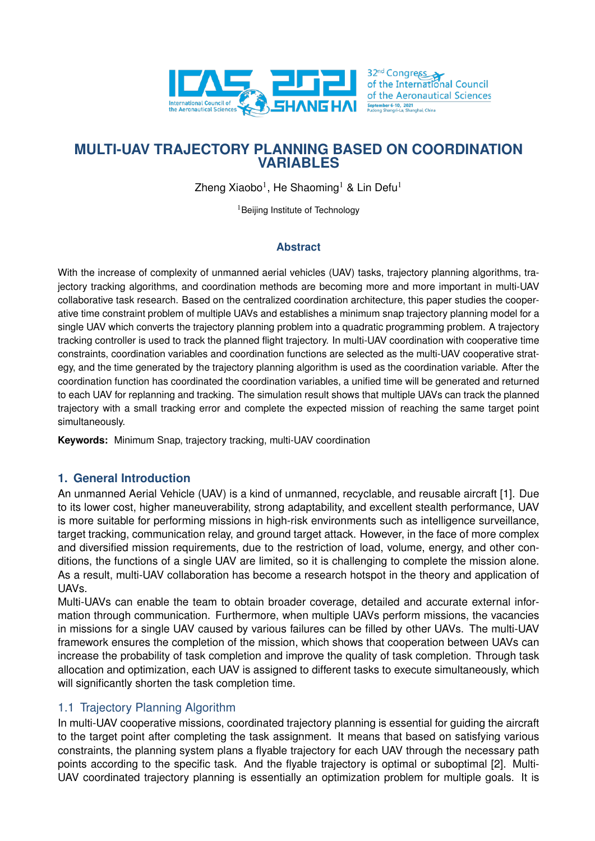

Zheng Xiaobo<sup>1</sup>, He Shaoming<sup>1</sup> & Lin Defu<sup>1</sup>

<sup>1</sup>Beijing Institute of Technology

### **Abstract**

With the increase of complexity of unmanned aerial vehicles (UAV) tasks, trajectory planning algorithms, trajectory tracking algorithms, and coordination methods are becoming more and more important in multi-UAV collaborative task research. Based on the centralized coordination architecture, this paper studies the cooperative time constraint problem of multiple UAVs and establishes a minimum snap trajectory planning model for a single UAV which converts the trajectory planning problem into a quadratic programming problem. A trajectory tracking controller is used to track the planned flight trajectory. In multi-UAV coordination with cooperative time constraints, coordination variables and coordination functions are selected as the multi-UAV cooperative strategy, and the time generated by the trajectory planning algorithm is used as the coordination variable. After the coordination function has coordinated the coordination variables, a unified time will be generated and returned to each UAV for replanning and tracking. The simulation result shows that multiple UAVs can track the planned trajectory with a small tracking error and complete the expected mission of reaching the same target point simultaneously.

**Keywords:** Minimum Snap, trajectory tracking, multi-UAV coordination

### **1. General Introduction**

An unmanned Aerial Vehicle (UAV) is a kind of unmanned, recyclable, and reusable aircraft [1]. Due to its lower cost, higher maneuverability, strong adaptability, and excellent stealth performance, UAV is more suitable for performing missions in high-risk environments such as intelligence surveillance, target tracking, communication relay, and ground target attack. However, in the face of more complex and diversified mission requirements, due to the restriction of load, volume, energy, and other conditions, the functions of a single UAV are limited, so it is challenging to complete the mission alone. As a result, multi-UAV collaboration has become a research hotspot in the theory and application of UAVs.

Multi-UAVs can enable the team to obtain broader coverage, detailed and accurate external information through communication. Furthermore, when multiple UAVs perform missions, the vacancies in missions for a single UAV caused by various failures can be filled by other UAVs. The multi-UAV framework ensures the completion of the mission, which shows that cooperation between UAVs can increase the probability of task completion and improve the quality of task completion. Through task allocation and optimization, each UAV is assigned to different tasks to execute simultaneously, which will significantly shorten the task completion time.

# 1.1 Trajectory Planning Algorithm

In multi-UAV cooperative missions, coordinated trajectory planning is essential for guiding the aircraft to the target point after completing the task assignment. It means that based on satisfying various constraints, the planning system plans a flyable trajectory for each UAV through the necessary path points according to the specific task. And the flyable trajectory is optimal or suboptimal [2]. Multi-UAV coordinated trajectory planning is essentially an optimization problem for multiple goals. It is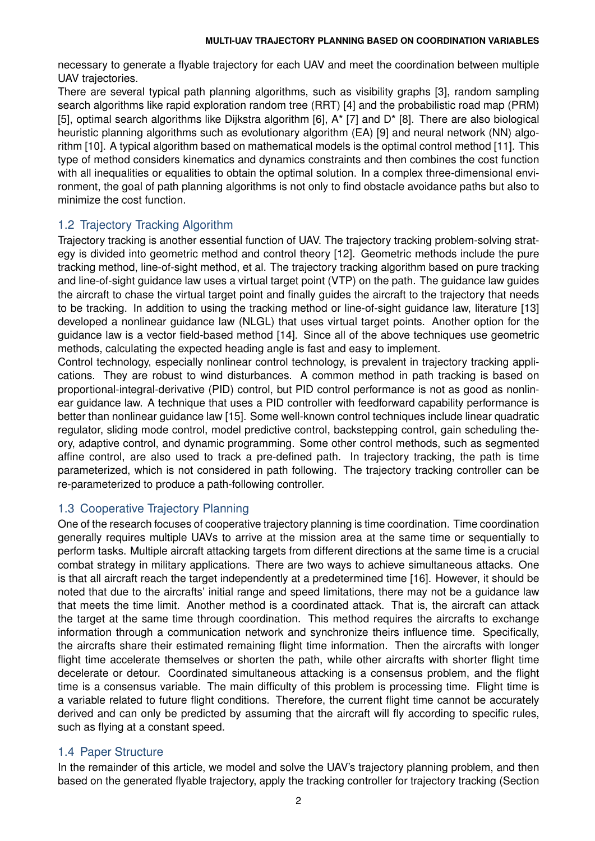necessary to generate a flyable trajectory for each UAV and meet the coordination between multiple UAV trajectories.

There are several typical path planning algorithms, such as visibility graphs [3], random sampling search algorithms like rapid exploration random tree (RRT) [4] and the probabilistic road map (PRM) [5], optimal search algorithms like Dijkstra algorithm [6], A\* [7] and D\* [8]. There are also biological heuristic planning algorithms such as evolutionary algorithm (EA) [9] and neural network (NN) algorithm [10]. A typical algorithm based on mathematical models is the optimal control method [11]. This type of method considers kinematics and dynamics constraints and then combines the cost function with all inequalities or equalities to obtain the optimal solution. In a complex three-dimensional environment, the goal of path planning algorithms is not only to find obstacle avoidance paths but also to minimize the cost function.

# 1.2 Trajectory Tracking Algorithm

Trajectory tracking is another essential function of UAV. The trajectory tracking problem-solving strategy is divided into geometric method and control theory [12]. Geometric methods include the pure tracking method, line-of-sight method, et al. The trajectory tracking algorithm based on pure tracking and line-of-sight guidance law uses a virtual target point (VTP) on the path. The guidance law guides the aircraft to chase the virtual target point and finally guides the aircraft to the trajectory that needs to be tracking. In addition to using the tracking method or line-of-sight guidance law, literature [13] developed a nonlinear guidance law (NLGL) that uses virtual target points. Another option for the guidance law is a vector field-based method [14]. Since all of the above techniques use geometric methods, calculating the expected heading angle is fast and easy to implement.

Control technology, especially nonlinear control technology, is prevalent in trajectory tracking applications. They are robust to wind disturbances. A common method in path tracking is based on proportional-integral-derivative (PID) control, but PID control performance is not as good as nonlinear guidance law. A technique that uses a PID controller with feedforward capability performance is better than nonlinear guidance law [15]. Some well-known control techniques include linear quadratic regulator, sliding mode control, model predictive control, backstepping control, gain scheduling theory, adaptive control, and dynamic programming. Some other control methods, such as segmented affine control, are also used to track a pre-defined path. In trajectory tracking, the path is time parameterized, which is not considered in path following. The trajectory tracking controller can be re-parameterized to produce a path-following controller.

# 1.3 Cooperative Trajectory Planning

One of the research focuses of cooperative trajectory planning is time coordination. Time coordination generally requires multiple UAVs to arrive at the mission area at the same time or sequentially to perform tasks. Multiple aircraft attacking targets from different directions at the same time is a crucial combat strategy in military applications. There are two ways to achieve simultaneous attacks. One is that all aircraft reach the target independently at a predetermined time [16]. However, it should be noted that due to the aircrafts' initial range and speed limitations, there may not be a guidance law that meets the time limit. Another method is a coordinated attack. That is, the aircraft can attack the target at the same time through coordination. This method requires the aircrafts to exchange information through a communication network and synchronize theirs influence time. Specifically, the aircrafts share their estimated remaining flight time information. Then the aircrafts with longer flight time accelerate themselves or shorten the path, while other aircrafts with shorter flight time decelerate or detour. Coordinated simultaneous attacking is a consensus problem, and the flight time is a consensus variable. The main difficulty of this problem is processing time. Flight time is a variable related to future flight conditions. Therefore, the current flight time cannot be accurately derived and can only be predicted by assuming that the aircraft will fly according to specific rules, such as flying at a constant speed.

# 1.4 Paper Structure

In the remainder of this article, we model and solve the UAV's trajectory planning problem, and then based on the generated flyable trajectory, apply the tracking controller for trajectory tracking (Section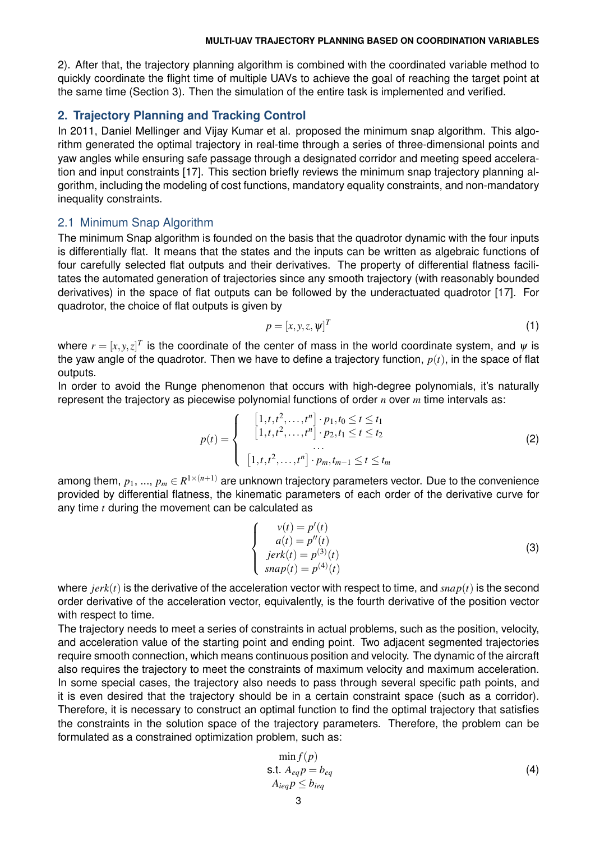2). After that, the trajectory planning algorithm is combined with the coordinated variable method to quickly coordinate the flight time of multiple UAVs to achieve the goal of reaching the target point at the same time (Section 3). Then the simulation of the entire task is implemented and verified.

### **2. Trajectory Planning and Tracking Control**

In 2011, Daniel Mellinger and Vijay Kumar et al. proposed the minimum snap algorithm. This algorithm generated the optimal trajectory in real-time through a series of three-dimensional points and yaw angles while ensuring safe passage through a designated corridor and meeting speed acceleration and input constraints [17]. This section briefly reviews the minimum snap trajectory planning algorithm, including the modeling of cost functions, mandatory equality constraints, and non-mandatory inequality constraints.

#### 2.1 Minimum Snap Algorithm

The minimum Snap algorithm is founded on the basis that the quadrotor dynamic with the four inputs is differentially flat. It means that the states and the inputs can be written as algebraic functions of four carefully selected flat outputs and their derivatives. The property of differential flatness facilitates the automated generation of trajectories since any smooth trajectory (with reasonably bounded derivatives) in the space of flat outputs can be followed by the underactuated quadrotor [17]. For quadrotor, the choice of flat outputs is given by

$$
p = [x, y, z, \psi]^T
$$
 (1)

where  $r=[x,y,z]^T$  is the coordinate of the center of mass in the world coordinate system, and  $\pmb{\psi}$  is the yaw angle of the quadrotor. Then we have to define a trajectory function, *p*(*t*), in the space of flat outputs.

In order to avoid the Runge phenomenon that occurs with high-degree polynomials, it's naturally represent the trajectory as piecewise polynomial functions of order *n* over *m* time intervals as:

$$
p(t) = \begin{cases} [1, t, t^2, \dots, t^n] \cdot p_1, t_0 \le t \le t_1 \\ [1, t, t^2, \dots, t^n] \cdot p_2, t_1 \le t \le t_2 \\ \dots \\ [1, t, t^2, \dots, t^n] \cdot p_m, t_{m-1} \le t \le t_m \end{cases}
$$
(2)

among them,  $p_1,...,p_m$   $\in$   $R^{1\times (n+1)}$  are unknown trajectory parameters vector. Due to the convenience provided by differential flatness, the kinematic parameters of each order of the derivative curve for any time *t* during the movement can be calculated as

$$
\begin{cases}\nv(t) = p'(t) \\
a(t) = p''(t) \\
jerk(t) = p^{(3)}(t) \\
snap(t) = p^{(4)}(t)\n\end{cases}
$$
\n(3)

where *jerk*(*t*) is the derivative of the acceleration vector with respect to time, and *snap*(*t*) is the second order derivative of the acceleration vector, equivalently, is the fourth derivative of the position vector with respect to time.

The trajectory needs to meet a series of constraints in actual problems, such as the position, velocity, and acceleration value of the starting point and ending point. Two adjacent segmented trajectories require smooth connection, which means continuous position and velocity. The dynamic of the aircraft also requires the trajectory to meet the constraints of maximum velocity and maximum acceleration. In some special cases, the trajectory also needs to pass through several specific path points, and it is even desired that the trajectory should be in a certain constraint space (such as a corridor). Therefore, it is necessary to construct an optimal function to find the optimal trajectory that satisfies the constraints in the solution space of the trajectory parameters. Therefore, the problem can be formulated as a constrained optimization problem, such as:

$$
\min_{\mathbf{S} \in \mathbf{S}} f(p) \n\mathbf{S} \cdot \mathbf{S} \cdot \mathbf{A}_{eq} p = b_{eq} \nA_{ieq} p \le b_{ieq}
$$
\n(4)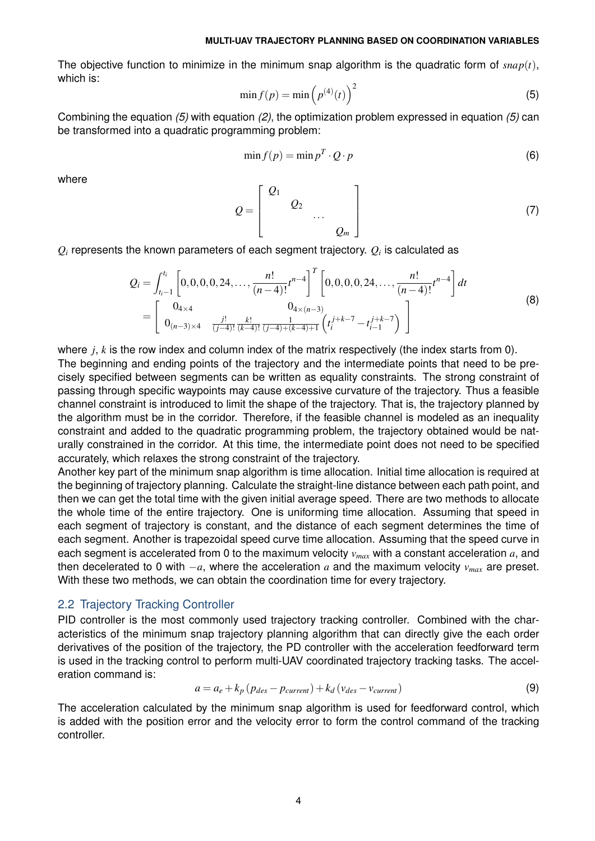The objective function to minimize in the minimum snap algorithm is the quadratic form of  $snap(t)$ , which is:

$$
\min f(p) = \min \left( p^{(4)}(t) \right)^2 \tag{5}
$$

Combining the equation *(5)* with equation *(2)*, the optimization problem expressed in equation *(5)* can be transformed into a quadratic programming problem:

$$
\min f(p) = \min p^T \cdot Q \cdot p \tag{6}
$$

where

$$
Q = \left[ \begin{array}{cccc} Q_1 & & & \\ & Q_2 & & \\ & & \ddots & \\ & & & Q_m \end{array} \right] \tag{7}
$$

 $Q_i$  represents the known parameters of each segment trajectory.  $Q_i$  is calculated as

$$
Q_{i} = \int_{t_{i}-1}^{t_{i}} \left[ 0, 0, 0, 0, 24, \ldots, \frac{n!}{(n-4)!} t^{n-4} \right]^{T} \left[ 0, 0, 0, 0, 24, \ldots, \frac{n!}{(n-4)!} t^{n-4} \right] dt
$$
\n
$$
= \left[ \begin{array}{cc} 0_{4 \times 4} & 0_{4 \times (n-3)} \\ 0_{(n-3) \times 4} & \frac{j!}{(j-4)!} \frac{k!}{(k-4)!} \frac{1}{(j-4)+(k-4)+1} \left( t_{i}^{j+k-7} - t_{i-1}^{j+k-7} \right) \end{array} \right]
$$
\n(8)

where *i*, *k* is the row index and column index of the matrix respectively (the index starts from 0). The beginning and ending points of the trajectory and the intermediate points that need to be precisely specified between segments can be written as equality constraints. The strong constraint of passing through specific waypoints may cause excessive curvature of the trajectory. Thus a feasible channel constraint is introduced to limit the shape of the trajectory. That is, the trajectory planned by the algorithm must be in the corridor. Therefore, if the feasible channel is modeled as an inequality constraint and added to the quadratic programming problem, the trajectory obtained would be naturally constrained in the corridor. At this time, the intermediate point does not need to be specified accurately, which relaxes the strong constraint of the trajectory.

Another key part of the minimum snap algorithm is time allocation. Initial time allocation is required at the beginning of trajectory planning. Calculate the straight-line distance between each path point, and then we can get the total time with the given initial average speed. There are two methods to allocate the whole time of the entire trajectory. One is uniforming time allocation. Assuming that speed in each segment of trajectory is constant, and the distance of each segment determines the time of each segment. Another is trapezoidal speed curve time allocation. Assuming that the speed curve in each segment is accelerated from 0 to the maximum velocity *vmax* with a constant acceleration *a*, and then decelerated to 0 with  $-a$ , where the acceleration *a* and the maximum velocity  $v_{max}$  are preset. With these two methods, we can obtain the coordination time for every trajectory.

#### 2.2 Trajectory Tracking Controller

PID controller is the most commonly used trajectory tracking controller. Combined with the characteristics of the minimum snap trajectory planning algorithm that can directly give the each order derivatives of the position of the trajectory, the PD controller with the acceleration feedforward term is used in the tracking control to perform multi-UAV coordinated trajectory tracking tasks. The acceleration command is:

$$
a = a_e + k_p \left( p_{des} - p_{current} \right) + k_d \left( v_{des} - v_{current} \right) \tag{9}
$$

The acceleration calculated by the minimum snap algorithm is used for feedforward control, which is added with the position error and the velocity error to form the control command of the tracking controller.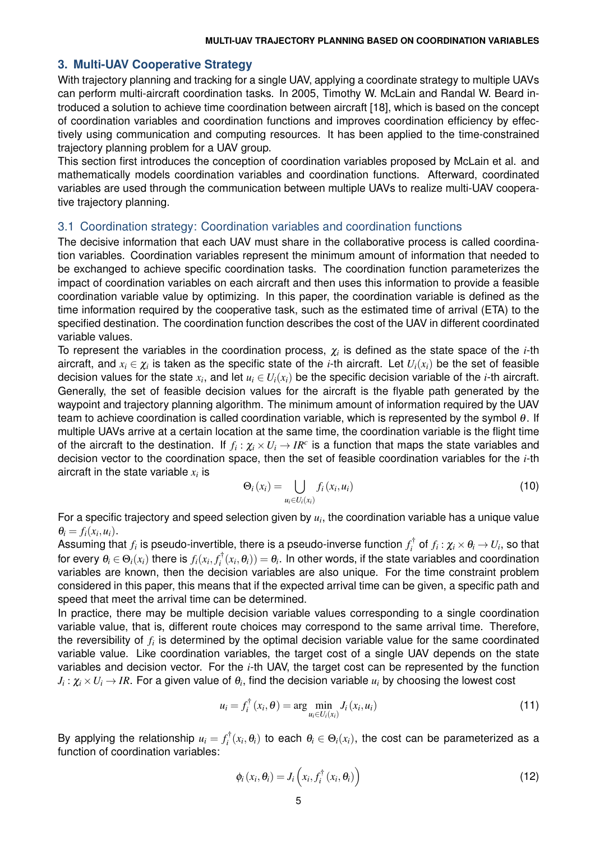### **3. Multi-UAV Cooperative Strategy**

With trajectory planning and tracking for a single UAV, applying a coordinate strategy to multiple UAVs can perform multi-aircraft coordination tasks. In 2005, Timothy W. McLain and Randal W. Beard introduced a solution to achieve time coordination between aircraft [18], which is based on the concept of coordination variables and coordination functions and improves coordination efficiency by effectively using communication and computing resources. It has been applied to the time-constrained trajectory planning problem for a UAV group.

This section first introduces the conception of coordination variables proposed by McLain et al. and mathematically models coordination variables and coordination functions. Afterward, coordinated variables are used through the communication between multiple UAVs to realize multi-UAV cooperative trajectory planning.

### 3.1 Coordination strategy: Coordination variables and coordination functions

The decisive information that each UAV must share in the collaborative process is called coordination variables. Coordination variables represent the minimum amount of information that needed to be exchanged to achieve specific coordination tasks. The coordination function parameterizes the impact of coordination variables on each aircraft and then uses this information to provide a feasible coordination variable value by optimizing. In this paper, the coordination variable is defined as the time information required by the cooperative task, such as the estimated time of arrival (ETA) to the specified destination. The coordination function describes the cost of the UAV in different coordinated variable values.

To represent the variables in the coordination process,  $\chi_i$  is defined as the state space of the *i*-th aircraft, and  $x_i \in \chi_i$  is taken as the specific state of the *i*-th aircraft. Let  $U_i(x_i)$  be the set of feasible decision values for the state  $x_i$ , and let  $u_i \in U_i(x_i)$  be the specific decision variable of the *i-*th aircraft. Generally, the set of feasible decision values for the aircraft is the flyable path generated by the waypoint and trajectory planning algorithm. The minimum amount of information required by the UAV team to achieve coordination is called coordination variable, which is represented by the symbol  $\theta$ . If multiple UAVs arrive at a certain location at the same time, the coordination variable is the flight time of the aircraft to the destination. If  $f_i: \chi_i \times U_i \to IR^c$  is a function that maps the state variables and decision vector to the coordination space, then the set of feasible coordination variables for the *i*-th aircraft in the state variable  $x_i$  is

$$
\Theta_i(x_i) = \bigcup_{u_i \in U_i(x_i)} f_i(x_i, u_i) \tag{10}
$$

For a specific trajectory and speed selection given by  $u_i$ , the coordination variable has a unique value  $\theta_i = f_i(x_i, u_i).$ 

Assuming that  $f_i$  is pseudo-invertible, there is a pseudo-inverse function  $f_i^\dagger$  of  $f_i:\chi_i\times\theta_i\to U_i,$  so that for every  $\theta_i\in\Theta_i(x_i)$  there is  $f_i(x_i,f_i^\dagger(x_i,\theta_i))=\theta_i.$  In other words, if the state variables and coordination variables are known, then the decision variables are also unique. For the time constraint problem considered in this paper, this means that if the expected arrival time can be given, a specific path and speed that meet the arrival time can be determined.

In practice, there may be multiple decision variable values corresponding to a single coordination variable value, that is, different route choices may correspond to the same arrival time. Therefore, the reversibility of  $f_i$  is determined by the optimal decision variable value for the same coordinated variable value. Like coordination variables, the target cost of a single UAV depends on the state variables and decision vector. For the *i*-th UAV, the target cost can be represented by the function  $J_i: \chi_i \times U_i \to IR.$  For a given value of  $\theta_i,$  find the decision variable  $u_i$  by choosing the lowest cost

$$
u_i = f_i^{\dagger}(x_i, \theta) = \arg \min_{u_i \in U_i(x_i)} J_i(x_i, u_i)
$$
\n(11)

By applying the relationship  $u_i = f_i^{\dagger}(x_i, \theta_i)$  to each  $\theta_i \in \Theta_i(x_i)$ , the cost can be parameterized as a function of coordination variables:

$$
\phi_i(x_i, \theta_i) = J_i\left(x_i, f_i^{\dagger}(x_i, \theta_i)\right)
$$
\n(12)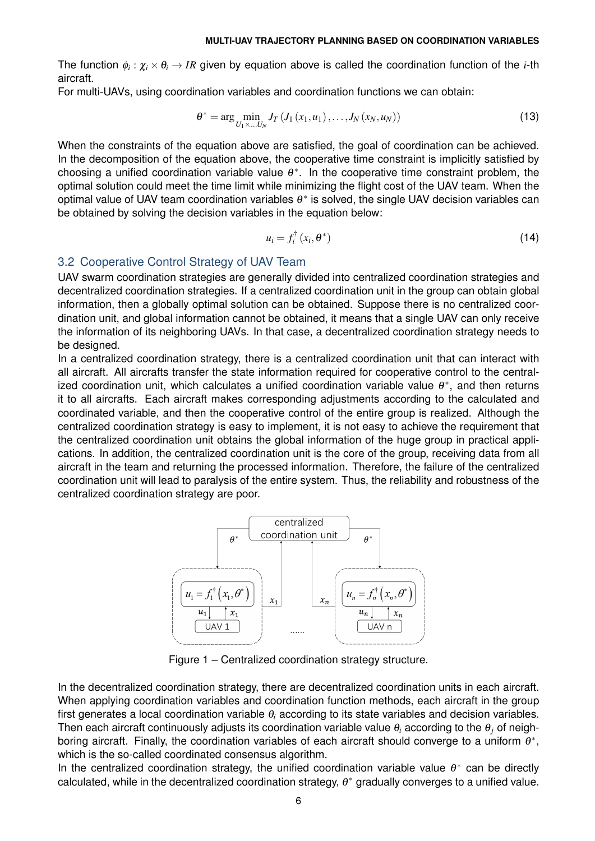The function  $\phi_i:\chi_i\times\theta_i\to IR$  given by equation above is called the coordination function of the *i*-th aircraft.

For multi-UAVs, using coordination variables and coordination functions we can obtain:

$$
\theta^* = \arg \min_{U_1 \times ... U_N} J_T \left( J_1 \left( x_1, u_1 \right), ..., J_N \left( x_N, u_N \right) \right) \tag{13}
$$

When the constraints of the equation above are satisfied, the goal of coordination can be achieved. In the decomposition of the equation above, the cooperative time constraint is implicitly satisfied by choosing a unified coordination variable value  $\theta^*$ . In the cooperative time constraint problem, the optimal solution could meet the time limit while minimizing the flight cost of the UAV team. When the optimal value of UAV team coordination variables  $\theta^*$  is solved, the single UAV decision variables can be obtained by solving the decision variables in the equation below:

$$
u_i = f_i^{\dagger} (x_i, \theta^*)
$$
 (14)

# 3.2 Cooperative Control Strategy of UAV Team

UAV swarm coordination strategies are generally divided into centralized coordination strategies and decentralized coordination strategies. If a centralized coordination unit in the group can obtain global information, then a globally optimal solution can be obtained. Suppose there is no centralized coordination unit, and global information cannot be obtained, it means that a single UAV can only receive the information of its neighboring UAVs. In that case, a decentralized coordination strategy needs to be designed.

In a centralized coordination strategy, there is a centralized coordination unit that can interact with all aircraft. All aircrafts transfer the state information required for cooperative control to the centralized coordination unit, which calculates a unified coordination variable value  $\theta^*$ , and then returns it to all aircrafts. Each aircraft makes corresponding adjustments according to the calculated and coordinated variable, and then the cooperative control of the entire group is realized. Although the centralized coordination strategy is easy to implement, it is not easy to achieve the requirement that the centralized coordination unit obtains the global information of the huge group in practical applications. In addition, the centralized coordination unit is the core of the group, receiving data from all aircraft in the team and returning the processed information. Therefore, the failure of the centralized coordination unit will lead to paralysis of the entire system. Thus, the reliability and robustness of the centralized coordination strategy are poor.



Figure 1 – Centralized coordination strategy structure.

In the decentralized coordination strategy, there are decentralized coordination units in each aircraft. When applying coordination variables and coordination function methods, each aircraft in the group first generates a local coordination variable θ*<sup>i</sup>* according to its state variables and decision variables. Then each aircraft continuously adjusts its coordination variable value θ*<sup>i</sup>* according to the θ*<sup>j</sup>* of neighboring aircraft. Finally, the coordination variables of each aircraft should converge to a uniform  $\theta^*$ , which is the so-called coordinated consensus algorithm.

In the centralized coordination strategy, the unified coordination variable value  $\theta^*$  can be directly calculated, while in the decentralized coordination strategy,  $\theta^*$  gradually converges to a unified value.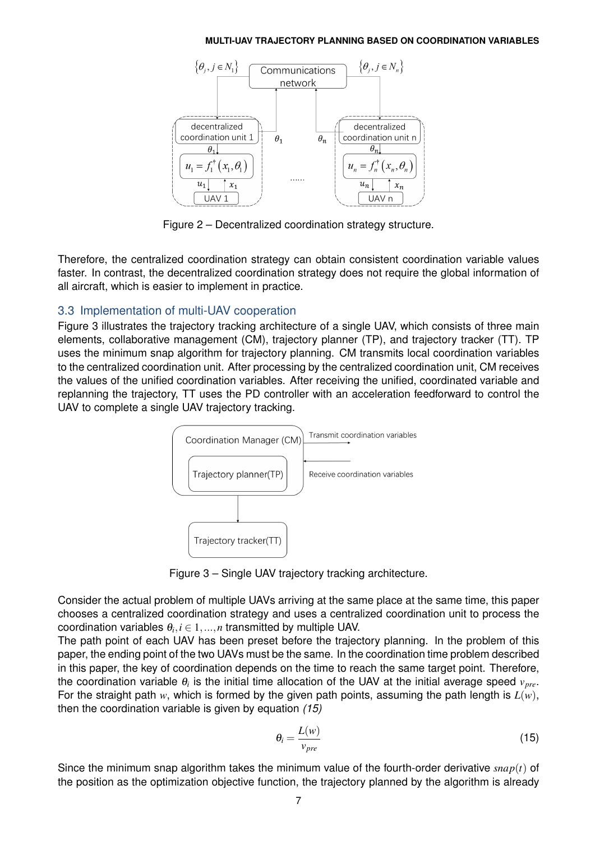

Figure 2 – Decentralized coordination strategy structure.

Therefore, the centralized coordination strategy can obtain consistent coordination variable values faster. In contrast, the decentralized coordination strategy does not require the global information of all aircraft, which is easier to implement in practice.

### 3.3 Implementation of multi-UAV cooperation

Figure 3 illustrates the trajectory tracking architecture of a single UAV, which consists of three main elements, collaborative management (CM), trajectory planner (TP), and trajectory tracker (TT). TP uses the minimum snap algorithm for trajectory planning. CM transmits local coordination variables to the centralized coordination unit. After processing by the centralized coordination unit, CM receives the values of the unified coordination variables. After receiving the unified, coordinated variable and replanning the trajectory, TT uses the PD controller with an acceleration feedforward to control the UAV to complete a single UAV trajectory tracking.



Figure 3 – Single UAV trajectory tracking architecture.

Consider the actual problem of multiple UAVs arriving at the same place at the same time, this paper chooses a centralized coordination strategy and uses a centralized coordination unit to process the  ${\sf coordinate}$  under  $\theta_i, i \in {1,...,n}$  transmitted by multiple UAV.

The path point of each UAV has been preset before the trajectory planning. In the problem of this paper, the ending point of the two UAVs must be the same. In the coordination time problem described in this paper, the key of coordination depends on the time to reach the same target point. Therefore, the coordination variable  $\theta_i$  is the initial time allocation of the UAV at the initial average speed  $v_{pre}$ . For the straight path *w*, which is formed by the given path points, assuming the path length is  $L(w)$ , then the coordination variable is given by equation *(15)*

$$
\theta_i = \frac{L(w)}{v_{pre}} \tag{15}
$$

Since the minimum snap algorithm takes the minimum value of the fourth-order derivative *snap*(*t*) of the position as the optimization objective function, the trajectory planned by the algorithm is already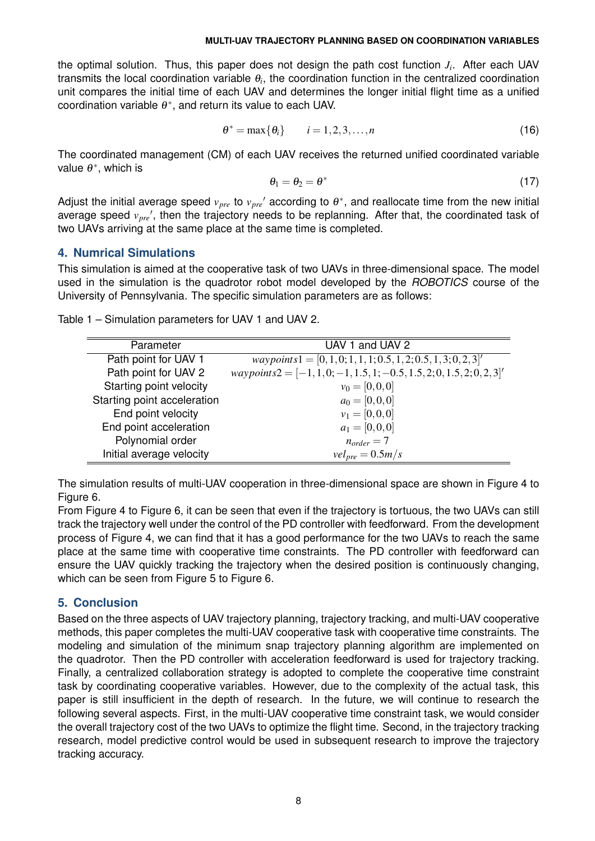the optimal solution. Thus, this paper does not design the path cost function *J<sup>i</sup>* . After each UAV transmits the local coordination variable  $\theta_i$ , the coordination function in the centralized coordination unit compares the initial time of each UAV and determines the longer initial flight time as a unified coordination variable  $\theta^*$ , and return its value to each UAV.

$$
\theta^* = \max\{\theta_i\} \qquad i = 1, 2, 3, \dots, n \tag{16}
$$

The coordinated management (CM) of each UAV receives the returned unified coordinated variable value  $\theta^*$ , which is

$$
\theta_1 = \theta_2 = \theta^* \tag{17}
$$

Adjust the initial average speed  $v_{pre}$  to  $v_{pre}$ ' according to  $\theta^*$ , and reallocate time from the new initial average speed  $v_{pre}$ , then the trajectory needs to be replanning. After that, the coordinated task of two UAVs arriving at the same place at the same time is completed.

### **4. Numrical Simulations**

This simulation is aimed at the cooperative task of two UAVs in three-dimensional space. The model used in the simulation is the quadrotor robot model developed by the *ROBOTICS* course of the University of Pennsylvania. The specific simulation parameters are as follows:

| Parameter                   | UAV 1 and UAV 2                                                         |
|-----------------------------|-------------------------------------------------------------------------|
| Path point for UAV 1        | $waypoints1 = [0, 1, 0; 1, 1, 1; 0.5, 1, 2; 0.5, 1, 3; 0, 2, 3]$        |
| Path point for UAV 2        | $waypoints2 = [-1, 1, 0; -1, 1.5, 1; -0.5, 1.5, 2; 0, 1.5, 2; 0, 2, 3]$ |
| Starting point velocity     | $v_0 = [0, 0, 0]$                                                       |
| Starting point acceleration | $a_0 = [0, 0, 0]$                                                       |
| End point velocity          | $v_1 = [0, 0, 0]$                                                       |
| End point acceleration      | $a_1 = [0, 0, 0]$                                                       |
| Polynomial order            | $n_{order} = 7$                                                         |
| Initial average velocity    | $vel_{pre} = 0.5m/s$                                                    |

Table 1 – Simulation parameters for UAV 1 and UAV 2.

The simulation results of multi-UAV cooperation in three-dimensional space are shown in Figure 4 to Figure 6.

From Figure 4 to Figure 6, it can be seen that even if the trajectory is tortuous, the two UAVs can still track the trajectory well under the control of the PD controller with feedforward. From the development process of Figure 4, we can find that it has a good performance for the two UAVs to reach the same place at the same time with cooperative time constraints. The PD controller with feedforward can ensure the UAV quickly tracking the trajectory when the desired position is continuously changing, which can be seen from Figure 5 to Figure 6.

# **5. Conclusion**

Based on the three aspects of UAV trajectory planning, trajectory tracking, and multi-UAV cooperative methods, this paper completes the multi-UAV cooperative task with cooperative time constraints. The modeling and simulation of the minimum snap trajectory planning algorithm are implemented on the quadrotor. Then the PD controller with acceleration feedforward is used for trajectory tracking. Finally, a centralized collaboration strategy is adopted to complete the cooperative time constraint task by coordinating cooperative variables. However, due to the complexity of the actual task, this paper is still insufficient in the depth of research. In the future, we will continue to research the following several aspects. First, in the multi-UAV cooperative time constraint task, we would consider the overall trajectory cost of the two UAVs to optimize the flight time. Second, in the trajectory tracking research, model predictive control would be used in subsequent research to improve the trajectory tracking accuracy.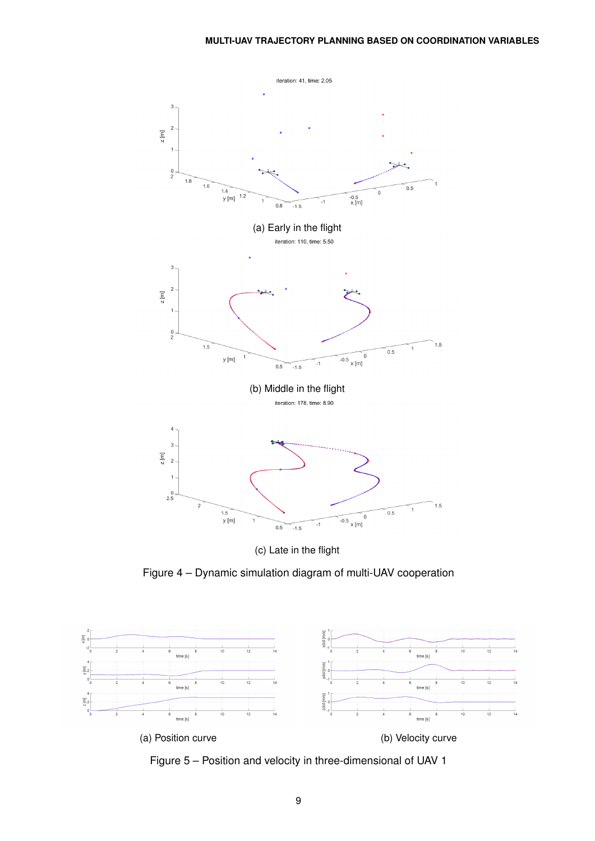

(c) Late in the flight

Figure 4 – Dynamic simulation diagram of multi-UAV cooperation



Figure 5 – Position and velocity in three-dimensional of UAV 1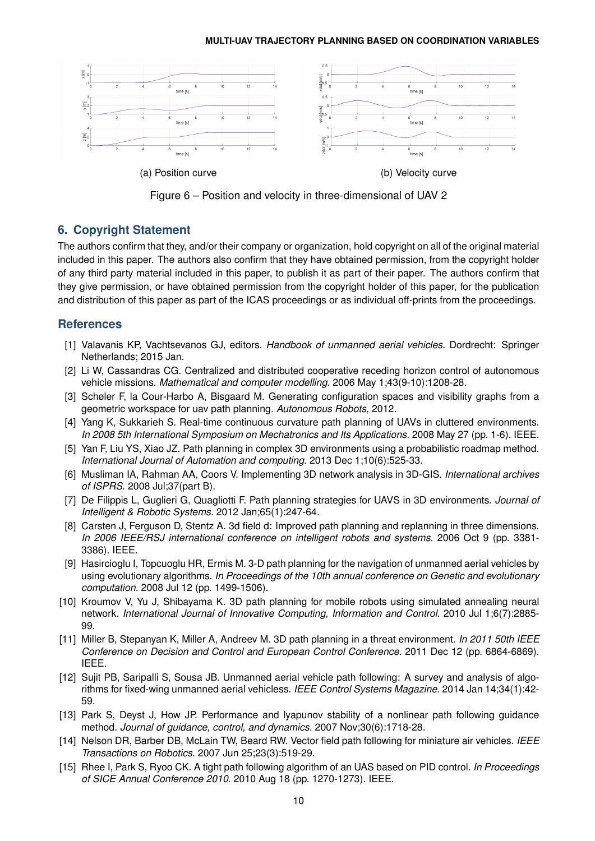

(a) Position curve (b) Velocity curve

Figure 6 – Position and velocity in three-dimensional of UAV 2

# **6. Copyright Statement**

The authors confirm that they, and/or their company or organization, hold copyright on all of the original material included in this paper. The authors also confirm that they have obtained permission, from the copyright holder of any third party material included in this paper, to publish it as part of their paper. The authors confirm that they give permission, or have obtained permission from the copyright holder of this paper, for the publication and distribution of this paper as part of the ICAS proceedings or as individual off-prints from the proceedings.

### **References**

- [1] Valavanis KP, Vachtsevanos GJ, editors. *Handbook of unmanned aerial vehicles*. Dordrecht: Springer Netherlands; 2015 Jan.
- [2] Li W, Cassandras CG. Centralized and distributed cooperative receding horizon control of autonomous vehicle missions. *Mathematical and computer modelling*. 2006 May 1;43(9-10):1208-28.
- [3] Schøler F, la Cour-Harbo A, Bisgaard M. Generating configuration spaces and visibility graphs from a geometric workspace for uav path planning. *Autonomous Robots*, 2012.
- [4] Yang K, Sukkarieh S. Real-time continuous curvature path planning of UAVs in cluttered environments. *In 2008 5th International Symposium on Mechatronics and Its Applications*. 2008 May 27 (pp. 1-6). IEEE.
- [5] Yan F, Liu YS, Xiao JZ. Path planning in complex 3D environments using a probabilistic roadmap method. *International Journal of Automation and computing*. 2013 Dec 1;10(6):525-33.
- [6] Musliman IA, Rahman AA, Coors V. Implementing 3D network analysis in 3D-GIS. *International archives of ISPRS*. 2008 Jul;37(part B).
- [7] De Filippis L, Guglieri G, Quagliotti F. Path planning strategies for UAVS in 3D environments. *Journal of Intelligent & Robotic Systems*. 2012 Jan;65(1):247-64.
- [8] Carsten J, Ferguson D, Stentz A. 3d field d: Improved path planning and replanning in three dimensions. *In 2006 IEEE/RSJ international conference on intelligent robots and systems*. 2006 Oct 9 (pp. 3381- 3386). IEEE.
- [9] Hasircioglu I, Topcuoglu HR, Ermis M. 3-D path planning for the navigation of unmanned aerial vehicles by using evolutionary algorithms. *In Proceedings of the 10th annual conference on Genetic and evolutionary computation*. 2008 Jul 12 (pp. 1499-1506).
- [10] Kroumov V, Yu J, Shibayama K. 3D path planning for mobile robots using simulated annealing neural network. *International Journal of Innovative Computing, Information and Control*. 2010 Jul 1;6(7):2885- 99.
- [11] Miller B, Stepanyan K, Miller A, Andreev M. 3D path planning in a threat environment. *In 2011 50th IEEE Conference on Decision and Control and European Control Conference*. 2011 Dec 12 (pp. 6864-6869). IEEE.
- [12] Sujit PB, Saripalli S, Sousa JB. Unmanned aerial vehicle path following: A survey and analysis of algorithms for fixed-wing unmanned aerial vehicless. *IEEE Control Systems Magazine*. 2014 Jan 14;34(1):42- 59.
- [13] Park S, Deyst J, How JP. Performance and lyapunov stability of a nonlinear path following guidance method. *Journal of guidance, control, and dynamics*. 2007 Nov;30(6):1718-28.
- [14] Nelson DR, Barber DB, McLain TW, Beard RW. Vector field path following for miniature air vehicles. *IEEE Transactions on Robotics*. 2007 Jun 25;23(3):519-29.
- [15] Rhee I, Park S, Ryoo CK. A tight path following algorithm of an UAS based on PID control. *In Proceedings of SICE Annual Conference 2010*. 2010 Aug 18 (pp. 1270-1273). IEEE.